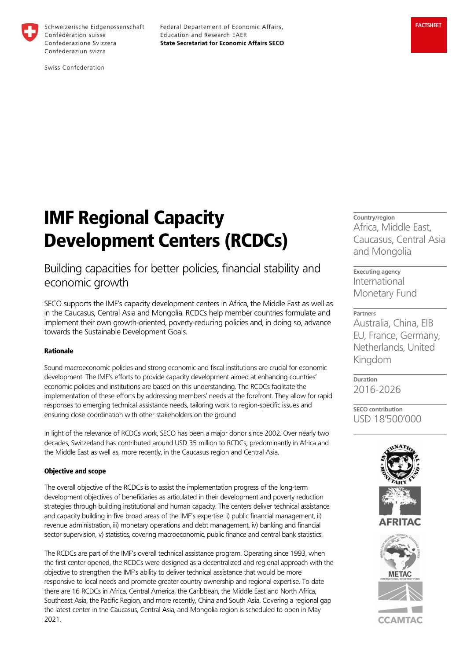

Schweizerische Eidgenossenschaft Confédération suisse Confederazione Svizzera Confederaziun svizra

Federal Departement of Economic Affairs, Education and Research EAER **State Secretariat for Economic Affairs SECO** 

Swiss Confederation

# IMF Regional Capacity Development Centers (RCDCs)

# Building capacities for better policies, financial stability and economic growth

SECO supports the IMF's capacity development centers in Africa, the Middle East as well as in the Caucasus, Central Asia and Mongolia. RCDCs help member countries formulate and implement their own growth-oriented, poverty-reducing policies and, in doing so, advance towards the Sustainable Development Goals.

# Rationale

Sound macroeconomic policies and strong economic and fiscal institutions are crucial for economic development. The IMF's efforts to provide capacity development aimed at enhancing countries' economic policies and institutions are based on this understanding. The RCDCs facilitate the implementation of these efforts by addressing members' needs at the forefront. They allow for rapid responses to emerging technical assistance needs, tailoring work to region-specific issues and ensuring close coordination with other stakeholders on the ground

In light of the relevance of RCDCs work, SECO has been a major donor since 2002. Over nearly two decades, Switzerland has contributed around USD 35 million to RCDCs; predominantly in Africa and the Middle East as well as, more recently, in the Caucasus region and Central Asia.

### Objective and scope

The overall objective of the RCDCs is to assist the implementation progress of the long-term development objectives of beneficiaries as articulated in their development and poverty reduction strategies through building institutional and human capacity. The centers deliver technical assistance and capacity building in five broad areas of the IMF's expertise: i) public financial management, ii) revenue administration, iii) monetary operations and debt management, iv) banking and financial sector supervision, v) statistics, covering macroeconomic, public finance and central bank statistics.

The RCDCs are part of the IMF's overall technical assistance program. Operating since 1993, when the first center opened, the RCDCs were designed as a decentralized and regional approach with the objective to strengthen the IMF's ability to deliver technical assistance that would be more responsive to local needs and promote greater country ownership and regional expertise. To date there are 16 RCDCs in Africa, Central America, the Caribbean, the Middle East and North Africa, Southeast Asia, the Pacific Region, and more recently, China and South Asia. Covering a regional gap the latest center in the Caucasus, Central Asia, and Mongolia region is scheduled to open in May 2021.

Country/region Africa, Middle East, Caucasus, Central Asia and Mongolia

Executing agency International Monetary Fund

## Partners

Australia, China, EIB EU, France, Germany, Netherlands, United Kingdom

Duration 2016-2026

SECO contribution USD 18'500'000





**CCAMTAC**